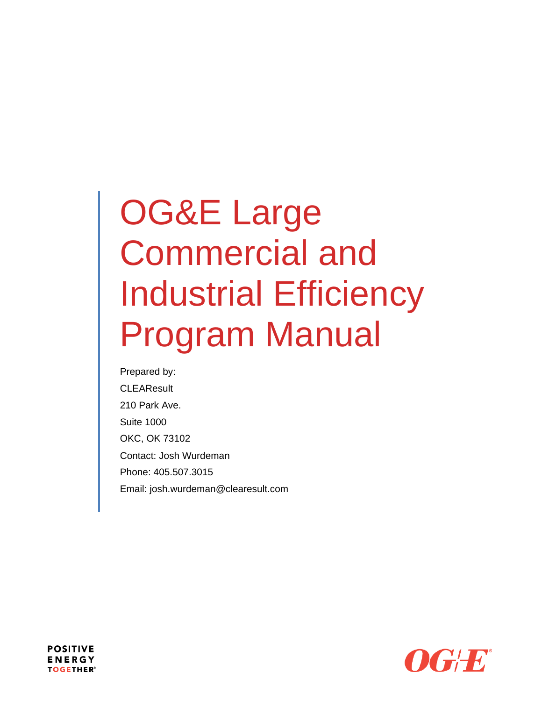# OG&E Large Commercial and Industrial Efficiency Program Manual

Prepared by: **CLEAResult** 210 Park Ave. Suite 1000 OKC, OK 73102 Contact: Josh Wurdeman Phone: 405.507.3015 Email: josh.wurdeman@clearesult.com



**POSITIVE ENERGY TOGETHER®**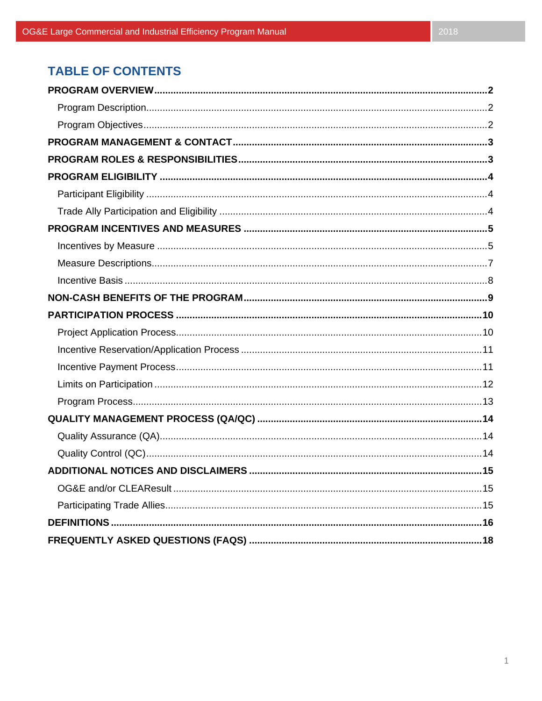# **TABLE OF CONTENTS**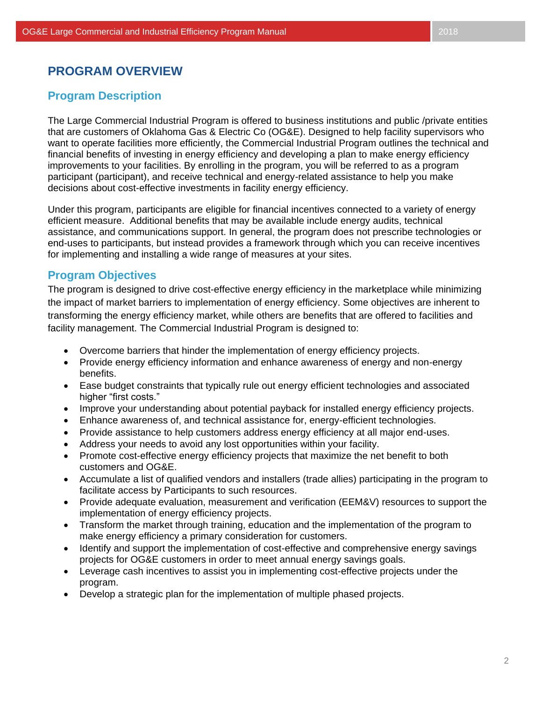## **PROGRAM OVERVIEW**

## **Program Description**

The Large Commercial Industrial Program is offered to business institutions and public /private entities that are customers of Oklahoma Gas & Electric Co (OG&E). Designed to help facility supervisors who want to operate facilities more efficiently, the Commercial Industrial Program outlines the technical and financial benefits of investing in energy efficiency and developing a plan to make energy efficiency improvements to your facilities. By enrolling in the program, you will be referred to as a program participant (participant), and receive technical and energy-related assistance to help you make decisions about cost-effective investments in facility energy efficiency.

Under this program, participants are eligible for financial incentives connected to a variety of energy efficient measure. Additional benefits that may be available include energy audits, technical assistance, and communications support. In general, the program does not prescribe technologies or end-uses to participants, but instead provides a framework through which you can receive incentives for implementing and installing a wide range of measures at your sites.

## **Program Objectives**

The program is designed to drive cost-effective energy efficiency in the marketplace while minimizing the impact of market barriers to implementation of energy efficiency. Some objectives are inherent to transforming the energy efficiency market, while others are benefits that are offered to facilities and facility management. The Commercial Industrial Program is designed to:

- Overcome barriers that hinder the implementation of energy efficiency projects.
- Provide energy efficiency information and enhance awareness of energy and non-energy benefits.
- Ease budget constraints that typically rule out energy efficient technologies and associated higher "first costs."
- Improve your understanding about potential payback for installed energy efficiency projects.
- Enhance awareness of, and technical assistance for, energy-efficient technologies.
- Provide assistance to help customers address energy efficiency at all major end-uses.
- Address your needs to avoid any lost opportunities within your facility.
- Promote cost-effective energy efficiency projects that maximize the net benefit to both customers and OG&E.
- Accumulate a list of qualified vendors and installers (trade allies) participating in the program to facilitate access by Participants to such resources.
- Provide adequate evaluation, measurement and verification (EEM&V) resources to support the implementation of energy efficiency projects.
- Transform the market through training, education and the implementation of the program to make energy efficiency a primary consideration for customers.
- Identify and support the implementation of cost-effective and comprehensive energy savings projects for OG&E customers in order to meet annual energy savings goals.
- Leverage cash incentives to assist you in implementing cost-effective projects under the program.
- Develop a strategic plan for the implementation of multiple phased projects.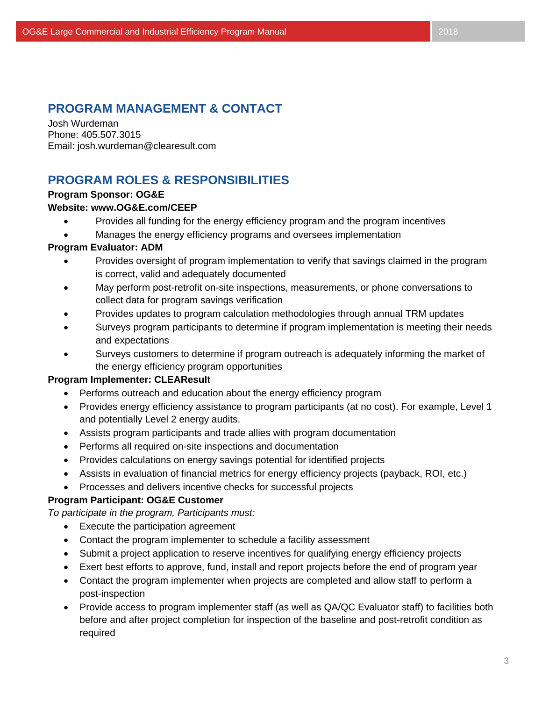## **PROGRAM MANAGEMENT & CONTACT**

Josh Wurdeman Phone: 405.507.3015 Email: josh.wurdeman@clearesult.com

# **PROGRAM ROLES & RESPONSIBILITIES**

## **Program Sponsor: OG&E**

#### **Website: www.OG&E.com/CEEP**

- Provides all funding for the energy efficiency program and the program incentives
- Manages the energy efficiency programs and oversees implementation

#### **Program Evaluator: ADM**

- Provides oversight of program implementation to verify that savings claimed in the program is correct, valid and adequately documented
- May perform post-retrofit on-site inspections, measurements, or phone conversations to collect data for program savings verification
- Provides updates to program calculation methodologies through annual TRM updates
- Surveys program participants to determine if program implementation is meeting their needs and expectations
- Surveys customers to determine if program outreach is adequately informing the market of the energy efficiency program opportunities

#### **Program Implementer: CLEAResult**

- Performs outreach and education about the energy efficiency program
- Provides energy efficiency assistance to program participants (at no cost). For example, Level 1 and potentially Level 2 energy audits.
- Assists program participants and trade allies with program documentation
- Performs all required on-site inspections and documentation
- Provides calculations on energy savings potential for identified projects
- Assists in evaluation of financial metrics for energy efficiency projects (payback, ROI, etc.)
- Processes and delivers incentive checks for successful projects

## **Program Participant: OG&E Customer**

*To participate in the program, Participants must:*

- Execute the participation agreement
- Contact the program implementer to schedule a facility assessment
- Submit a project application to reserve incentives for qualifying energy efficiency projects
- Exert best efforts to approve, fund, install and report projects before the end of program year
- Contact the program implementer when projects are completed and allow staff to perform a post-inspection
- Provide access to program implementer staff (as well as QA/QC Evaluator staff) to facilities both before and after project completion for inspection of the baseline and post-retrofit condition as required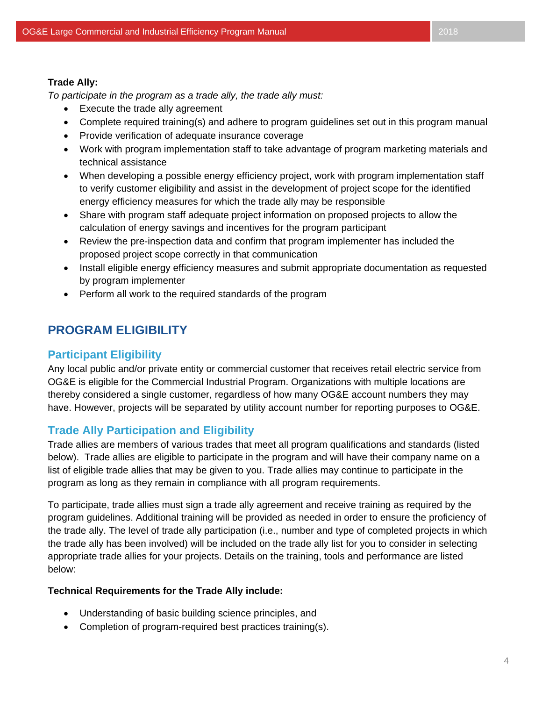#### **Trade Ally:**

*To participate in the program as a trade ally, the trade ally must:*

- Execute the trade ally agreement
- Complete required training(s) and adhere to program guidelines set out in this program manual
- Provide verification of adequate insurance coverage
- Work with program implementation staff to take advantage of program marketing materials and technical assistance
- When developing a possible energy efficiency project, work with program implementation staff to verify customer eligibility and assist in the development of project scope for the identified energy efficiency measures for which the trade ally may be responsible
- Share with program staff adequate project information on proposed projects to allow the calculation of energy savings and incentives for the program participant
- Review the pre-inspection data and confirm that program implementer has included the proposed project scope correctly in that communication
- Install eligible energy efficiency measures and submit appropriate documentation as requested by program implementer
- Perform all work to the required standards of the program

# **PROGRAM ELIGIBILITY**

## **Participant Eligibility**

Any local public and/or private entity or commercial customer that receives retail electric service from OG&E is eligible for the Commercial Industrial Program. Organizations with multiple locations are thereby considered a single customer, regardless of how many OG&E account numbers they may have. However, projects will be separated by utility account number for reporting purposes to OG&E.

## **Trade Ally Participation and Eligibility**

Trade allies are members of various trades that meet all program qualifications and standards (listed below). Trade allies are eligible to participate in the program and will have their company name on a list of eligible trade allies that may be given to you. Trade allies may continue to participate in the program as long as they remain in compliance with all program requirements.

To participate, trade allies must sign a trade ally agreement and receive training as required by the program guidelines. Additional training will be provided as needed in order to ensure the proficiency of the trade ally. The level of trade ally participation (i.e., number and type of completed projects in which the trade ally has been involved) will be included on the trade ally list for you to consider in selecting appropriate trade allies for your projects. Details on the training, tools and performance are listed below:

## **Technical Requirements for the Trade Ally include:**

- Understanding of basic building science principles, and
- Completion of program-required best practices training(s).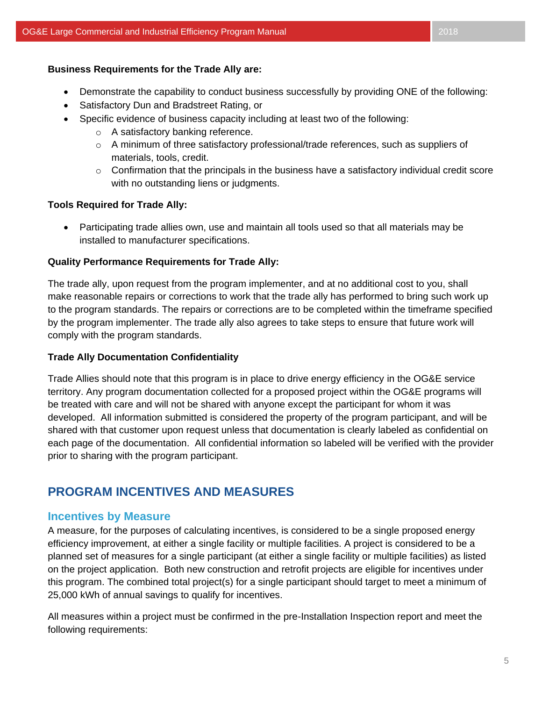#### **Business Requirements for the Trade Ally are:**

- Demonstrate the capability to conduct business successfully by providing ONE of the following:
- Satisfactory Dun and Bradstreet Rating, or
- Specific evidence of business capacity including at least two of the following:
	- o A satisfactory banking reference.
	- $\circ$  A minimum of three satisfactory professional/trade references, such as suppliers of materials, tools, credit.
	- $\circ$  Confirmation that the principals in the business have a satisfactory individual credit score with no outstanding liens or judgments.

#### **Tools Required for Trade Ally:**

• Participating trade allies own, use and maintain all tools used so that all materials may be installed to manufacturer specifications.

#### **Quality Performance Requirements for Trade Ally:**

The trade ally, upon request from the program implementer, and at no additional cost to you, shall make reasonable repairs or corrections to work that the trade ally has performed to bring such work up to the program standards. The repairs or corrections are to be completed within the timeframe specified by the program implementer. The trade ally also agrees to take steps to ensure that future work will comply with the program standards.

#### **Trade Ally Documentation Confidentiality**

Trade Allies should note that this program is in place to drive energy efficiency in the OG&E service territory. Any program documentation collected for a proposed project within the OG&E programs will be treated with care and will not be shared with anyone except the participant for whom it was developed. All information submitted is considered the property of the program participant, and will be shared with that customer upon request unless that documentation is clearly labeled as confidential on each page of the documentation. All confidential information so labeled will be verified with the provider prior to sharing with the program participant.

## **PROGRAM INCENTIVES AND MEASURES**

## **Incentives by Measure**

A measure, for the purposes of calculating incentives, is considered to be a single proposed energy efficiency improvement, at either a single facility or multiple facilities. A project is considered to be a planned set of measures for a single participant (at either a single facility or multiple facilities) as listed on the project application. Both new construction and retrofit projects are eligible for incentives under this program. The combined total project(s) for a single participant should target to meet a minimum of 25,000 kWh of annual savings to qualify for incentives.

All measures within a project must be confirmed in the pre-Installation Inspection report and meet the following requirements: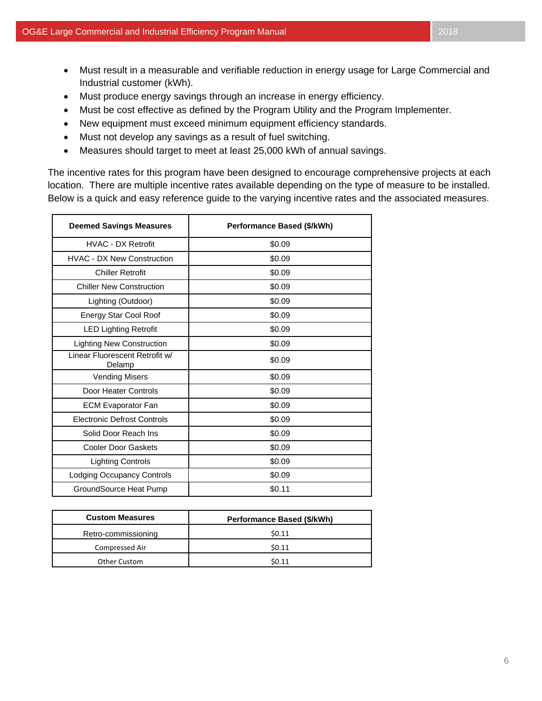$\blacksquare$ 

- Must result in a measurable and verifiable reduction in energy usage for Large Commercial and Industrial customer (kWh).
- Must produce energy savings through an increase in energy efficiency.
- Must be cost effective as defined by the Program Utility and the Program Implementer.
- New equipment must exceed minimum equipment efficiency standards.
- Must not develop any savings as a result of fuel switching.
- Measures should target to meet at least 25,000 kWh of annual savings.

The incentive rates for this program have been designed to encourage comprehensive projects at each location. There are multiple incentive rates available depending on the type of measure to be installed. Below is a quick and easy reference guide to the varying incentive rates and the associated measures.

| <b>Deemed Savings Measures</b>           | Performance Based (\$/kWh) |
|------------------------------------------|----------------------------|
| <b>HVAC - DX Retrofit</b>                | \$0.09                     |
| <b>HVAC - DX New Construction</b>        | \$0.09                     |
| <b>Chiller Retrofit</b>                  | \$0.09                     |
| <b>Chiller New Construction</b>          | \$0.09                     |
| Lighting (Outdoor)                       | \$0.09                     |
| Energy Star Cool Roof                    | \$0.09                     |
| <b>LED Lighting Retrofit</b>             | \$0.09                     |
| <b>Lighting New Construction</b>         | \$0.09                     |
| Linear Fluorescent Retrofit w/<br>Delamp | \$0.09                     |
| <b>Vending Misers</b>                    | \$0.09                     |
| Door Heater Controls                     | \$0.09                     |
| <b>ECM Evaporator Fan</b>                | \$0.09                     |
| <b>Electronic Defrost Controls</b>       | \$0.09                     |
| Solid Door Reach Ins                     | \$0.09                     |
| <b>Cooler Door Gaskets</b>               | \$0.09                     |
| <b>Lighting Controls</b>                 | \$0.09                     |
| <b>Lodging Occupancy Controls</b>        | \$0.09                     |
| GroundSource Heat Pump                   | \$0.11                     |

| <b>Custom Measures</b> | Performance Based (\$/kWh) |
|------------------------|----------------------------|
| Retro-commissioning    | \$0.11                     |
| Compressed Air         | \$0.11                     |
| Other Custom           | \$0.11                     |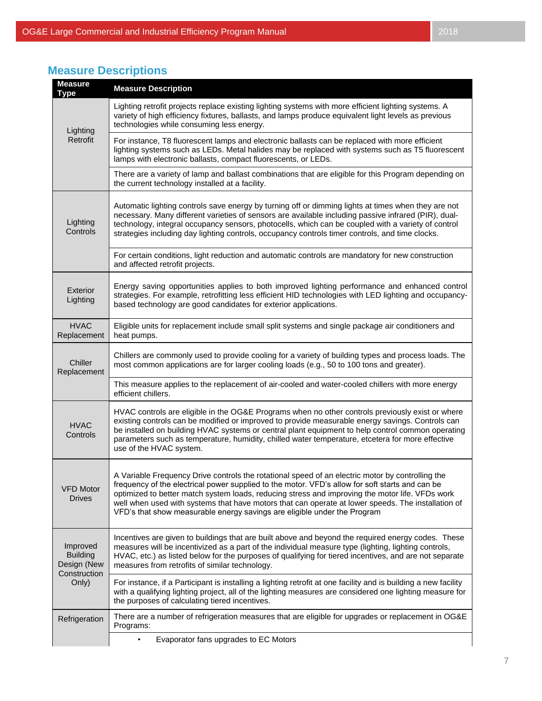# **Measure Descriptions**

| <b>Measure</b><br><b>Type</b>                                       | <b>Measure Description</b>                                                                                                                                                                                                                                                                                                                                                                                                                                                               |
|---------------------------------------------------------------------|------------------------------------------------------------------------------------------------------------------------------------------------------------------------------------------------------------------------------------------------------------------------------------------------------------------------------------------------------------------------------------------------------------------------------------------------------------------------------------------|
| Lighting<br>Retrofit                                                | Lighting retrofit projects replace existing lighting systems with more efficient lighting systems. A<br>variety of high efficiency fixtures, ballasts, and lamps produce equivalent light levels as previous<br>technologies while consuming less energy.                                                                                                                                                                                                                                |
|                                                                     | For instance, T8 fluorescent lamps and electronic ballasts can be replaced with more efficient<br>lighting systems such as LEDs. Metal halides may be replaced with systems such as T5 fluorescent<br>lamps with electronic ballasts, compact fluorescents, or LEDs.                                                                                                                                                                                                                     |
|                                                                     | There are a variety of lamp and ballast combinations that are eligible for this Program depending on<br>the current technology installed at a facility.                                                                                                                                                                                                                                                                                                                                  |
| Lighting<br>Controls                                                | Automatic lighting controls save energy by turning off or dimming lights at times when they are not<br>necessary. Many different varieties of sensors are available including passive infrared (PIR), dual-<br>technology, integral occupancy sensors, photocells, which can be coupled with a variety of control<br>strategies including day lighting controls, occupancy controls timer controls, and time clocks.                                                                     |
|                                                                     | For certain conditions, light reduction and automatic controls are mandatory for new construction<br>and affected retrofit projects.                                                                                                                                                                                                                                                                                                                                                     |
| Exterior<br>Lighting                                                | Energy saving opportunities applies to both improved lighting performance and enhanced control<br>strategies. For example, retrofitting less efficient HID technologies with LED lighting and occupancy-<br>based technology are good candidates for exterior applications.                                                                                                                                                                                                              |
| <b>HVAC</b><br>Replacement                                          | Eligible units for replacement include small split systems and single package air conditioners and<br>heat pumps.                                                                                                                                                                                                                                                                                                                                                                        |
| Chiller<br>Replacement                                              | Chillers are commonly used to provide cooling for a variety of building types and process loads. The<br>most common applications are for larger cooling loads (e.g., 50 to 100 tons and greater).                                                                                                                                                                                                                                                                                        |
|                                                                     | This measure applies to the replacement of air-cooled and water-cooled chillers with more energy<br>efficient chillers.                                                                                                                                                                                                                                                                                                                                                                  |
| <b>HVAC</b><br>Controls                                             | HVAC controls are eligible in the OG&E Programs when no other controls previously exist or where<br>existing controls can be modified or improved to provide measurable energy savings. Controls can<br>be installed on building HVAC systems or central plant equipment to help control common operating<br>parameters such as temperature, humidity, chilled water temperature, etcetera for more effective<br>use of the HVAC system.                                                 |
| <b>VFD Motor</b><br><b>Drives</b>                                   | A Variable Frequency Drive controls the rotational speed of an electric motor by controlling the<br>frequency of the electrical power supplied to the motor. VFD's allow for soft starts and can be<br>optimized to better match system loads, reducing stress and improving the motor life. VFDs work<br>well when used with systems that have motors that can operate at lower speeds. The installation of<br>VFD's that show measurable energy savings are eligible under the Program |
| Improved<br><b>Building</b><br>Design (New<br>Construction<br>Only) | Incentives are given to buildings that are built above and beyond the required energy codes. These<br>measures will be incentivized as a part of the individual measure type (lighting, lighting controls,<br>HVAC, etc.) as listed below for the purposes of qualifying for tiered incentives, and are not separate<br>measures from retrofits of similar technology.                                                                                                                   |
|                                                                     | For instance, if a Participant is installing a lighting retrofit at one facility and is building a new facility<br>with a qualifying lighting project, all of the lighting measures are considered one lighting measure for<br>the purposes of calculating tiered incentives.                                                                                                                                                                                                            |
| Refrigeration                                                       | There are a number of refrigeration measures that are eligible for upgrades or replacement in OG&E<br>Programs:                                                                                                                                                                                                                                                                                                                                                                          |
|                                                                     | Evaporator fans upgrades to EC Motors<br>٠                                                                                                                                                                                                                                                                                                                                                                                                                                               |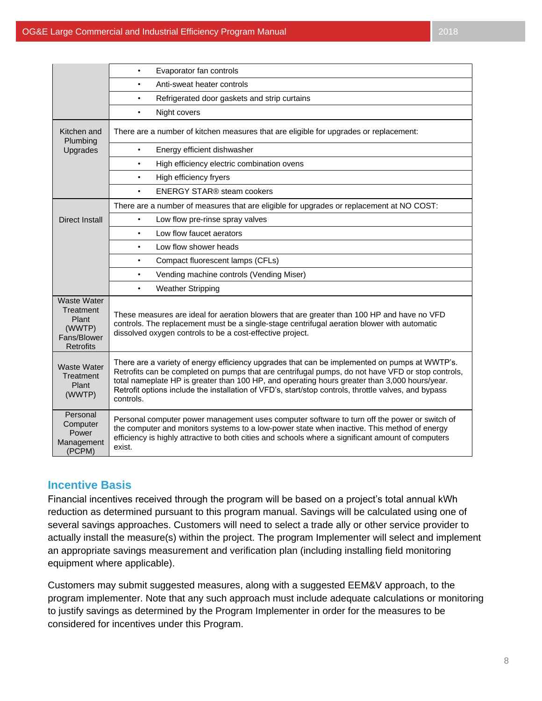|                                                                                       | Evaporator fan controls                                                                                                                                                                                                                                                                                                                                                                                                  |
|---------------------------------------------------------------------------------------|--------------------------------------------------------------------------------------------------------------------------------------------------------------------------------------------------------------------------------------------------------------------------------------------------------------------------------------------------------------------------------------------------------------------------|
|                                                                                       | Anti-sweat heater controls<br>$\bullet$                                                                                                                                                                                                                                                                                                                                                                                  |
|                                                                                       | Refrigerated door gaskets and strip curtains<br>$\bullet$                                                                                                                                                                                                                                                                                                                                                                |
|                                                                                       | Night covers<br>$\bullet$                                                                                                                                                                                                                                                                                                                                                                                                |
| Kitchen and<br>Plumbing                                                               | There are a number of kitchen measures that are eligible for upgrades or replacement:                                                                                                                                                                                                                                                                                                                                    |
| Upgrades                                                                              | Energy efficient dishwasher<br>$\bullet$                                                                                                                                                                                                                                                                                                                                                                                 |
|                                                                                       | High efficiency electric combination ovens<br>$\bullet$                                                                                                                                                                                                                                                                                                                                                                  |
|                                                                                       | High efficiency fryers<br>$\bullet$                                                                                                                                                                                                                                                                                                                                                                                      |
|                                                                                       | <b>ENERGY STAR® steam cookers</b><br>$\bullet$                                                                                                                                                                                                                                                                                                                                                                           |
|                                                                                       | There are a number of measures that are eligible for upgrades or replacement at NO COST:                                                                                                                                                                                                                                                                                                                                 |
| <b>Direct Install</b>                                                                 | Low flow pre-rinse spray valves<br>$\bullet$                                                                                                                                                                                                                                                                                                                                                                             |
|                                                                                       | Low flow faucet aerators<br>$\bullet$                                                                                                                                                                                                                                                                                                                                                                                    |
|                                                                                       | Low flow shower heads<br>$\bullet$                                                                                                                                                                                                                                                                                                                                                                                       |
|                                                                                       | Compact fluorescent lamps (CFLs)<br>$\bullet$                                                                                                                                                                                                                                                                                                                                                                            |
|                                                                                       | Vending machine controls (Vending Miser)<br>$\bullet$                                                                                                                                                                                                                                                                                                                                                                    |
|                                                                                       | Weather Stripping<br>$\bullet$                                                                                                                                                                                                                                                                                                                                                                                           |
| <b>Waste Water</b><br>Treatment<br>Plant<br>(WWTP)<br>Fans/Blower<br><b>Retrofits</b> | These measures are ideal for aeration blowers that are greater than 100 HP and have no VFD<br>controls. The replacement must be a single-stage centrifugal aeration blower with automatic<br>dissolved oxygen controls to be a cost-effective project.                                                                                                                                                                   |
| Waste Water<br>Treatment<br>Plant<br>(WWTP)                                           | There are a variety of energy efficiency upgrades that can be implemented on pumps at WWTP's.<br>Retrofits can be completed on pumps that are centrifugal pumps, do not have VFD or stop controls,<br>total nameplate HP is greater than 100 HP, and operating hours greater than 3,000 hours/year.<br>Retrofit options include the installation of VFD's, start/stop controls, throttle valves, and bypass<br>controls. |
| Personal<br>Computer<br>Power<br>Management<br>(PCPM)                                 | Personal computer power management uses computer software to turn off the power or switch of<br>the computer and monitors systems to a low-power state when inactive. This method of energy<br>efficiency is highly attractive to both cities and schools where a significant amount of computers<br>exist.                                                                                                              |

## **Incentive Basis**

Financial incentives received through the program will be based on a project's total annual kWh reduction as determined pursuant to this program manual. Savings will be calculated using one of several savings approaches. Customers will need to select a trade ally or other service provider to actually install the measure(s) within the project. The program Implementer will select and implement an appropriate savings measurement and verification plan (including installing field monitoring equipment where applicable).

Customers may submit suggested measures, along with a suggested EEM&V approach, to the program implementer. Note that any such approach must include adequate calculations or monitoring to justify savings as determined by the Program Implementer in order for the measures to be considered for incentives under this Program.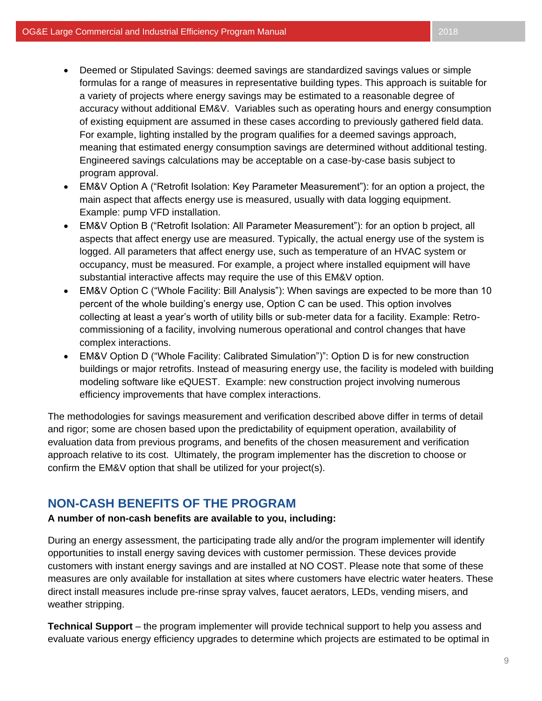- Deemed or Stipulated Savings: deemed savings are standardized savings values or simple formulas for a range of measures in representative building types. This approach is suitable for a variety of projects where energy savings may be estimated to a reasonable degree of accuracy without additional EM&V. Variables such as operating hours and energy consumption of existing equipment are assumed in these cases according to previously gathered field data. For example, lighting installed by the program qualifies for a deemed savings approach, meaning that estimated energy consumption savings are determined without additional testing. Engineered savings calculations may be acceptable on a case-by-case basis subject to program approval.
- EM&V Option A ("Retrofit Isolation: Key Parameter Measurement"): for an option a project, the main aspect that affects energy use is measured, usually with data logging equipment. Example: pump VFD installation.
- EM&V Option B ("Retrofit Isolation: All Parameter Measurement"): for an option b project, all aspects that affect energy use are measured. Typically, the actual energy use of the system is logged. All parameters that affect energy use, such as temperature of an HVAC system or occupancy, must be measured. For example, a project where installed equipment will have substantial interactive affects may require the use of this EM&V option.
- EM&V Option C ("Whole Facility: Bill Analysis"): When savings are expected to be more than 10 percent of the whole building's energy use, Option C can be used. This option involves collecting at least a year's worth of utility bills or sub-meter data for a facility. Example: Retrocommissioning of a facility, involving numerous operational and control changes that have complex interactions.
- EM&V Option D ("Whole Facility: Calibrated Simulation")": Option D is for new construction buildings or major retrofits. Instead of measuring energy use, the facility is modeled with building modeling software like eQUEST. Example: new construction project involving numerous efficiency improvements that have complex interactions.

The methodologies for savings measurement and verification described above differ in terms of detail and rigor; some are chosen based upon the predictability of equipment operation, availability of evaluation data from previous programs, and benefits of the chosen measurement and verification approach relative to its cost. Ultimately, the program implementer has the discretion to choose or confirm the EM&V option that shall be utilized for your project(s).

## **NON-CASH BENEFITS OF THE PROGRAM**

#### **A number of non-cash benefits are available to you, including:**

During an energy assessment, the participating trade ally and/or the program implementer will identify opportunities to install energy saving devices with customer permission. These devices provide customers with instant energy savings and are installed at NO COST. Please note that some of these measures are only available for installation at sites where customers have electric water heaters. These direct install measures include pre-rinse spray valves, faucet aerators, LEDs, vending misers, and weather stripping.

**Technical Support** – the program implementer will provide technical support to help you assess and evaluate various energy efficiency upgrades to determine which projects are estimated to be optimal in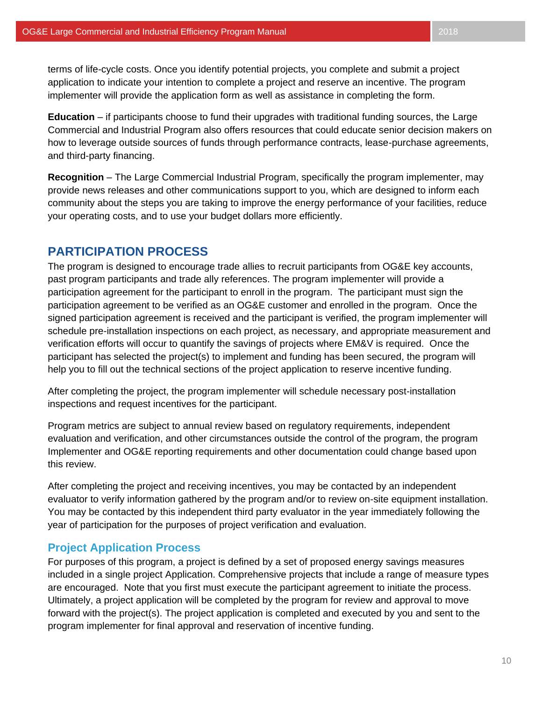terms of life-cycle costs. Once you identify potential projects, you complete and submit a project application to indicate your intention to complete a project and reserve an incentive. The program implementer will provide the application form as well as assistance in completing the form.

**Education** – if participants choose to fund their upgrades with traditional funding sources, the Large Commercial and Industrial Program also offers resources that could educate senior decision makers on how to leverage outside sources of funds through performance contracts, lease-purchase agreements, and third-party financing.

**Recognition** – The Large Commercial Industrial Program, specifically the program implementer, may provide news releases and other communications support to you, which are designed to inform each community about the steps you are taking to improve the energy performance of your facilities, reduce your operating costs, and to use your budget dollars more efficiently.

## **PARTICIPATION PROCESS**

The program is designed to encourage trade allies to recruit participants from OG&E key accounts, past program participants and trade ally references. The program implementer will provide a participation agreement for the participant to enroll in the program. The participant must sign the participation agreement to be verified as an OG&E customer and enrolled in the program. Once the signed participation agreement is received and the participant is verified, the program implementer will schedule pre-installation inspections on each project, as necessary, and appropriate measurement and verification efforts will occur to quantify the savings of projects where EM&V is required. Once the participant has selected the project(s) to implement and funding has been secured, the program will help you to fill out the technical sections of the project application to reserve incentive funding.

After completing the project, the program implementer will schedule necessary post-installation inspections and request incentives for the participant.

Program metrics are subject to annual review based on regulatory requirements, independent evaluation and verification, and other circumstances outside the control of the program, the program Implementer and OG&E reporting requirements and other documentation could change based upon this review.

After completing the project and receiving incentives, you may be contacted by an independent evaluator to verify information gathered by the program and/or to review on-site equipment installation. You may be contacted by this independent third party evaluator in the year immediately following the year of participation for the purposes of project verification and evaluation.

## **Project Application Process**

For purposes of this program, a project is defined by a set of proposed energy savings measures included in a single project Application. Comprehensive projects that include a range of measure types are encouraged. Note that you first must execute the participant agreement to initiate the process. Ultimately, a project application will be completed by the program for review and approval to move forward with the project(s). The project application is completed and executed by you and sent to the program implementer for final approval and reservation of incentive funding.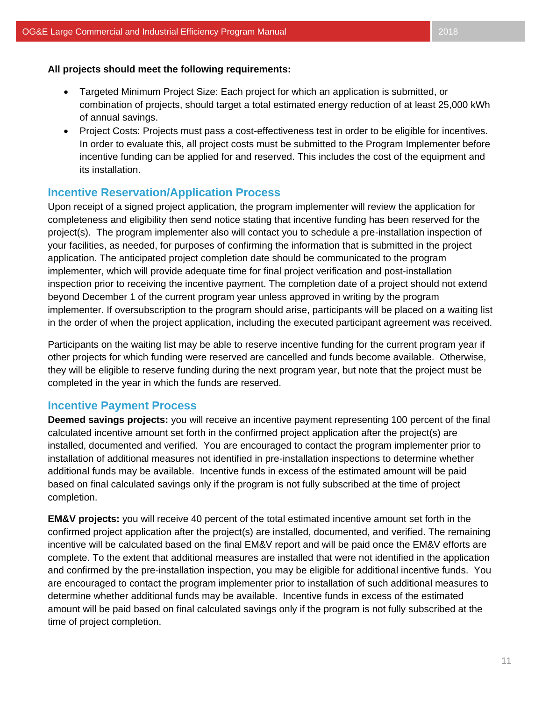- Targeted Minimum Project Size: Each project for which an application is submitted, or combination of projects, should target a total estimated energy reduction of at least 25,000 kWh of annual savings.
- Project Costs: Projects must pass a cost-effectiveness test in order to be eligible for incentives. In order to evaluate this, all project costs must be submitted to the Program Implementer before incentive funding can be applied for and reserved. This includes the cost of the equipment and its installation.

## **Incentive Reservation/Application Process**

Upon receipt of a signed project application, the program implementer will review the application for completeness and eligibility then send notice stating that incentive funding has been reserved for the project(s). The program implementer also will contact you to schedule a pre-installation inspection of your facilities, as needed, for purposes of confirming the information that is submitted in the project application. The anticipated project completion date should be communicated to the program implementer, which will provide adequate time for final project verification and post-installation inspection prior to receiving the incentive payment. The completion date of a project should not extend beyond December 1 of the current program year unless approved in writing by the program implementer. If oversubscription to the program should arise, participants will be placed on a waiting list in the order of when the project application, including the executed participant agreement was received.

Participants on the waiting list may be able to reserve incentive funding for the current program year if other projects for which funding were reserved are cancelled and funds become available. Otherwise, they will be eligible to reserve funding during the next program year, but note that the project must be completed in the year in which the funds are reserved.

## **Incentive Payment Process**

**Deemed savings projects:** you will receive an incentive payment representing 100 percent of the final calculated incentive amount set forth in the confirmed project application after the project(s) are installed, documented and verified. You are encouraged to contact the program implementer prior to installation of additional measures not identified in pre-installation inspections to determine whether additional funds may be available. Incentive funds in excess of the estimated amount will be paid based on final calculated savings only if the program is not fully subscribed at the time of project completion.

**EM&V projects:** you will receive 40 percent of the total estimated incentive amount set forth in the confirmed project application after the project(s) are installed, documented, and verified. The remaining incentive will be calculated based on the final EM&V report and will be paid once the EM&V efforts are complete. To the extent that additional measures are installed that were not identified in the application and confirmed by the pre-installation inspection, you may be eligible for additional incentive funds. You are encouraged to contact the program implementer prior to installation of such additional measures to determine whether additional funds may be available. Incentive funds in excess of the estimated amount will be paid based on final calculated savings only if the program is not fully subscribed at the time of project completion.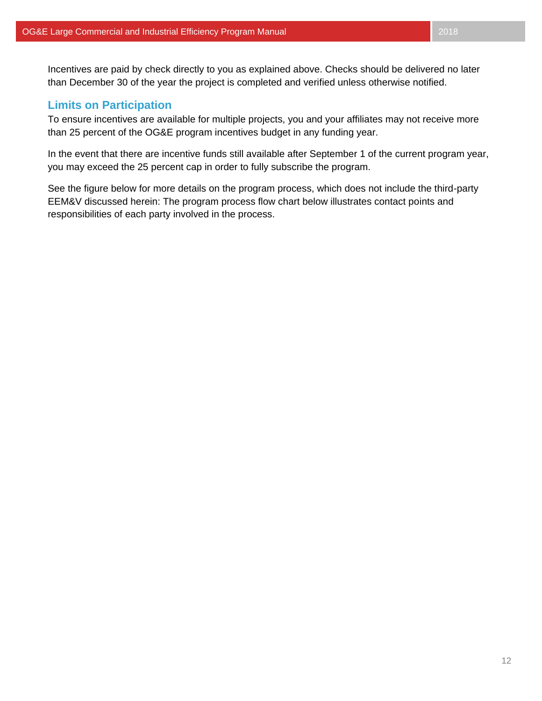Incentives are paid by check directly to you as explained above. Checks should be delivered no later than December 30 of the year the project is completed and verified unless otherwise notified.

## **Limits on Participation**

To ensure incentives are available for multiple projects, you and your affiliates may not receive more than 25 percent of the OG&E program incentives budget in any funding year.

In the event that there are incentive funds still available after September 1 of the current program year, you may exceed the 25 percent cap in order to fully subscribe the program.

See the figure below for more details on the program process, which does not include the third-party EEM&V discussed herein: The program process flow chart below illustrates contact points and responsibilities of each party involved in the process.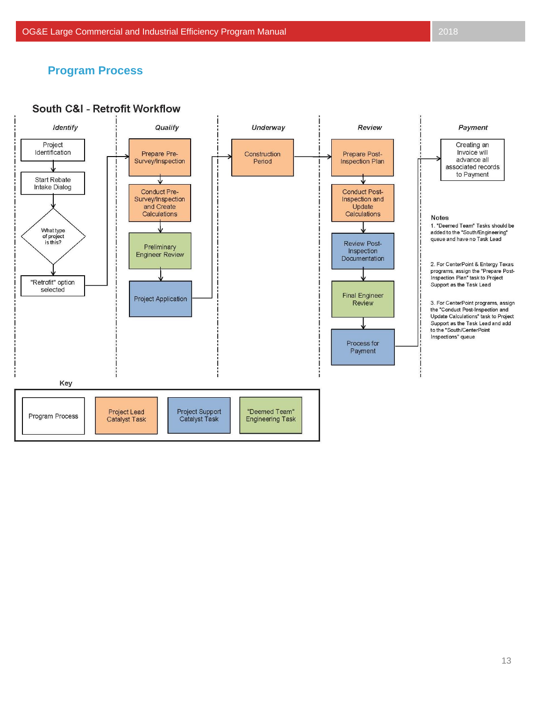## **Program Process**

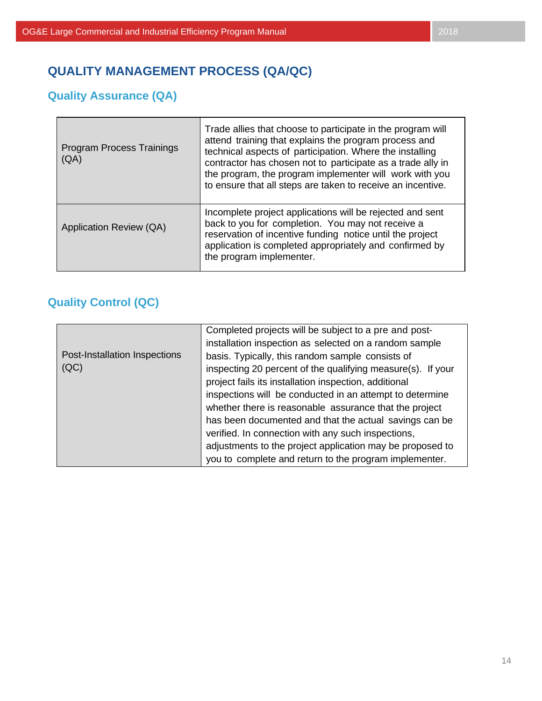# **QUALITY MANAGEMENT PROCESS (QA/QC)**

# **Quality Assurance (QA)**

п

| <b>Program Process Trainings</b><br>(AA) | Trade allies that choose to participate in the program will<br>attend training that explains the program process and<br>technical aspects of participation. Where the installing<br>contractor has chosen not to participate as a trade ally in<br>the program, the program implementer will work with you<br>to ensure that all steps are taken to receive an incentive. |
|------------------------------------------|---------------------------------------------------------------------------------------------------------------------------------------------------------------------------------------------------------------------------------------------------------------------------------------------------------------------------------------------------------------------------|
| Application Review (QA)                  | Incomplete project applications will be rejected and sent<br>back to you for completion. You may not receive a<br>reservation of incentive funding notice until the project<br>application is completed appropriately and confirmed by<br>the program implementer.                                                                                                        |

# **Quality Control (QC)**

|                               | Completed projects will be subject to a pre and post-       |
|-------------------------------|-------------------------------------------------------------|
|                               | installation inspection as selected on a random sample      |
| Post-Installation Inspections | basis. Typically, this random sample consists of            |
| (QC)                          | inspecting 20 percent of the qualifying measure(s). If your |
|                               | project fails its installation inspection, additional       |
|                               | inspections will be conducted in an attempt to determine    |
|                               | whether there is reasonable assurance that the project      |
|                               | has been documented and that the actual savings can be      |
|                               | verified. In connection with any such inspections,          |
|                               | adjustments to the project application may be proposed to   |
|                               | you to complete and return to the program implementer.      |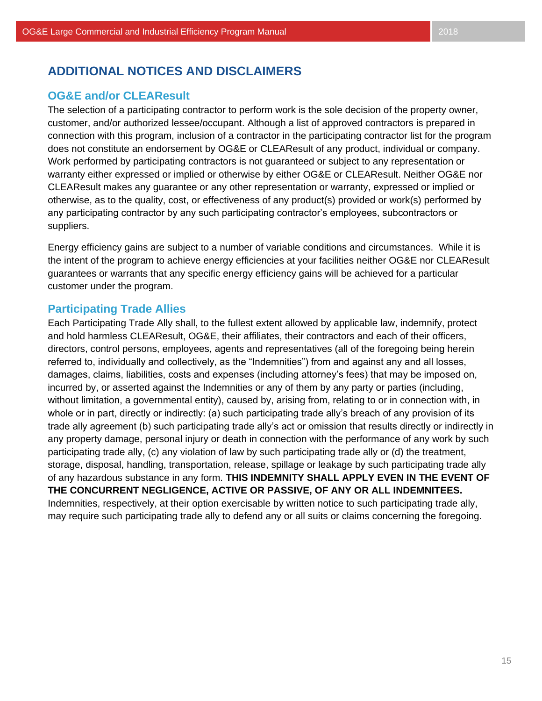# **ADDITIONAL NOTICES AND DISCLAIMERS**

## **OG&E and/or CLEAResult**

The selection of a participating contractor to perform work is the sole decision of the property owner, customer, and/or authorized lessee/occupant. Although a list of approved contractors is prepared in connection with this program, inclusion of a contractor in the participating contractor list for the program does not constitute an endorsement by OG&E or CLEAResult of any product, individual or company. Work performed by participating contractors is not guaranteed or subject to any representation or warranty either expressed or implied or otherwise by either OG&E or CLEAResult. Neither OG&E nor CLEAResult makes any guarantee or any other representation or warranty, expressed or implied or otherwise, as to the quality, cost, or effectiveness of any product(s) provided or work(s) performed by any participating contractor by any such participating contractor's employees, subcontractors or suppliers.

Energy efficiency gains are subject to a number of variable conditions and circumstances. While it is the intent of the program to achieve energy efficiencies at your facilities neither OG&E nor CLEAResult guarantees or warrants that any specific energy efficiency gains will be achieved for a particular customer under the program.

## **Participating Trade Allies**

Each Participating Trade Ally shall, to the fullest extent allowed by applicable law, indemnify, protect and hold harmless CLEAResult, OG&E, their affiliates, their contractors and each of their officers, directors, control persons, employees, agents and representatives (all of the foregoing being herein referred to, individually and collectively, as the "Indemnities") from and against any and all losses, damages, claims, liabilities, costs and expenses (including attorney's fees) that may be imposed on, incurred by, or asserted against the Indemnities or any of them by any party or parties (including, without limitation, a governmental entity), caused by, arising from, relating to or in connection with, in whole or in part, directly or indirectly: (a) such participating trade ally's breach of any provision of its trade ally agreement (b) such participating trade ally's act or omission that results directly or indirectly in any property damage, personal injury or death in connection with the performance of any work by such participating trade ally, (c) any violation of law by such participating trade ally or (d) the treatment, storage, disposal, handling, transportation, release, spillage or leakage by such participating trade ally of any hazardous substance in any form. **THIS INDEMNITY SHALL APPLY EVEN IN THE EVENT OF THE CONCURRENT NEGLIGENCE, ACTIVE OR PASSIVE, OF ANY OR ALL INDEMNITEES.** Indemnities, respectively, at their option exercisable by written notice to such participating trade ally, may require such participating trade ally to defend any or all suits or claims concerning the foregoing.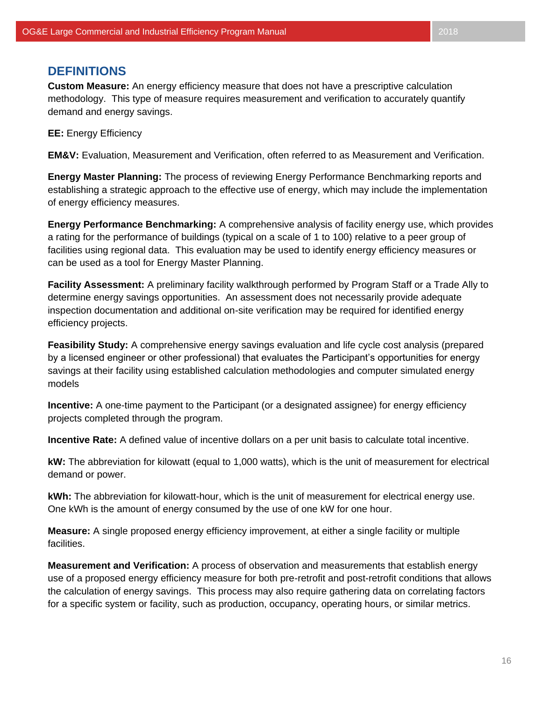## **DEFINITIONS**

**Custom Measure:** An energy efficiency measure that does not have a prescriptive calculation methodology. This type of measure requires measurement and verification to accurately quantify demand and energy savings.

**EE:** Energy Efficiency

**EM&V:** Evaluation, Measurement and Verification, often referred to as Measurement and Verification.

**Energy Master Planning:** The process of reviewing Energy Performance Benchmarking reports and establishing a strategic approach to the effective use of energy, which may include the implementation of energy efficiency measures.

**Energy Performance Benchmarking:** A comprehensive analysis of facility energy use, which provides a rating for the performance of buildings (typical on a scale of 1 to 100) relative to a peer group of facilities using regional data. This evaluation may be used to identify energy efficiency measures or can be used as a tool for Energy Master Planning.

**Facility Assessment:** A preliminary facility walkthrough performed by Program Staff or a Trade Ally to determine energy savings opportunities. An assessment does not necessarily provide adequate inspection documentation and additional on-site verification may be required for identified energy efficiency projects.

**Feasibility Study:** A comprehensive energy savings evaluation and life cycle cost analysis (prepared by a licensed engineer or other professional) that evaluates the Participant's opportunities for energy savings at their facility using established calculation methodologies and computer simulated energy models

**Incentive:** A one-time payment to the Participant (or a designated assignee) for energy efficiency projects completed through the program.

**Incentive Rate:** A defined value of incentive dollars on a per unit basis to calculate total incentive.

**kW:** The abbreviation for kilowatt (equal to 1,000 watts), which is the unit of measurement for electrical demand or power.

**kWh:** The abbreviation for kilowatt-hour, which is the unit of measurement for electrical energy use. One kWh is the amount of energy consumed by the use of one kW for one hour.

**Measure:** A single proposed energy efficiency improvement, at either a single facility or multiple facilities.

**Measurement and Verification:** A process of observation and measurements that establish energy use of a proposed energy efficiency measure for both pre-retrofit and post-retrofit conditions that allows the calculation of energy savings. This process may also require gathering data on correlating factors for a specific system or facility, such as production, occupancy, operating hours, or similar metrics.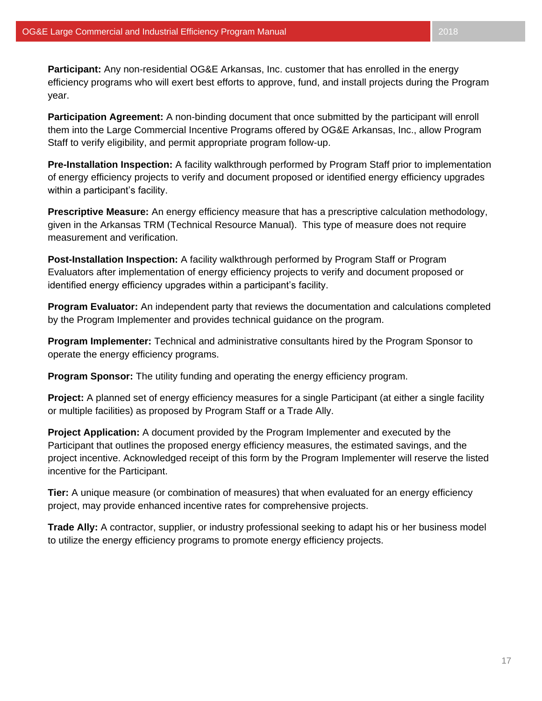**Participant:** Any non-residential OG&E Arkansas, Inc. customer that has enrolled in the energy efficiency programs who will exert best efforts to approve, fund, and install projects during the Program year.

**Participation Agreement:** A non-binding document that once submitted by the participant will enroll them into the Large Commercial Incentive Programs offered by OG&E Arkansas, Inc., allow Program Staff to verify eligibility, and permit appropriate program follow-up.

**Pre-Installation Inspection:** A facility walkthrough performed by Program Staff prior to implementation of energy efficiency projects to verify and document proposed or identified energy efficiency upgrades within a participant's facility.

**Prescriptive Measure:** An energy efficiency measure that has a prescriptive calculation methodology, given in the Arkansas TRM (Technical Resource Manual). This type of measure does not require measurement and verification.

**Post-Installation Inspection:** A facility walkthrough performed by Program Staff or Program Evaluators after implementation of energy efficiency projects to verify and document proposed or identified energy efficiency upgrades within a participant's facility.

**Program Evaluator:** An independent party that reviews the documentation and calculations completed by the Program Implementer and provides technical guidance on the program.

**Program Implementer:** Technical and administrative consultants hired by the Program Sponsor to operate the energy efficiency programs.

**Program Sponsor:** The utility funding and operating the energy efficiency program.

**Project:** A planned set of energy efficiency measures for a single Participant (at either a single facility or multiple facilities) as proposed by Program Staff or a Trade Ally.

**Project Application:** A document provided by the Program Implementer and executed by the Participant that outlines the proposed energy efficiency measures, the estimated savings, and the project incentive. Acknowledged receipt of this form by the Program Implementer will reserve the listed incentive for the Participant.

**Tier:** A unique measure (or combination of measures) that when evaluated for an energy efficiency project, may provide enhanced incentive rates for comprehensive projects.

**Trade Ally:** A contractor, supplier, or industry professional seeking to adapt his or her business model to utilize the energy efficiency programs to promote energy efficiency projects.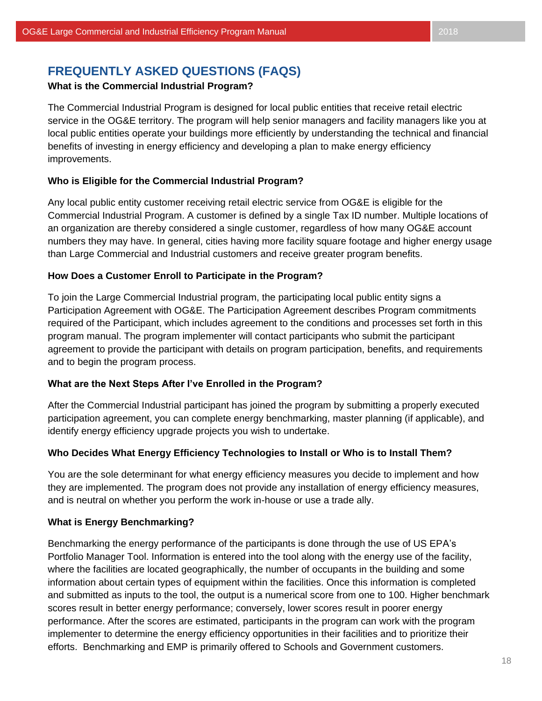# **FREQUENTLY ASKED QUESTIONS (FAQS)**

## **What is the Commercial Industrial Program?**

The Commercial Industrial Program is designed for local public entities that receive retail electric service in the OG&E territory. The program will help senior managers and facility managers like you at local public entities operate your buildings more efficiently by understanding the technical and financial benefits of investing in energy efficiency and developing a plan to make energy efficiency improvements.

## **Who is Eligible for the Commercial Industrial Program?**

Any local public entity customer receiving retail electric service from OG&E is eligible for the Commercial Industrial Program. A customer is defined by a single Tax ID number. Multiple locations of an organization are thereby considered a single customer, regardless of how many OG&E account numbers they may have. In general, cities having more facility square footage and higher energy usage than Large Commercial and Industrial customers and receive greater program benefits.

## **How Does a Customer Enroll to Participate in the Program?**

To join the Large Commercial Industrial program, the participating local public entity signs a Participation Agreement with OG&E. The Participation Agreement describes Program commitments required of the Participant, which includes agreement to the conditions and processes set forth in this program manual. The program implementer will contact participants who submit the participant agreement to provide the participant with details on program participation, benefits, and requirements and to begin the program process.

## **What are the Next Steps After I've Enrolled in the Program?**

After the Commercial Industrial participant has joined the program by submitting a properly executed participation agreement, you can complete energy benchmarking, master planning (if applicable), and identify energy efficiency upgrade projects you wish to undertake.

## **Who Decides What Energy Efficiency Technologies to Install or Who is to Install Them?**

You are the sole determinant for what energy efficiency measures you decide to implement and how they are implemented. The program does not provide any installation of energy efficiency measures, and is neutral on whether you perform the work in-house or use a trade ally.

## **What is Energy Benchmarking?**

Benchmarking the energy performance of the participants is done through the use of US EPA's Portfolio Manager Tool. Information is entered into the tool along with the energy use of the facility, where the facilities are located geographically, the number of occupants in the building and some information about certain types of equipment within the facilities. Once this information is completed and submitted as inputs to the tool, the output is a numerical score from one to 100. Higher benchmark scores result in better energy performance; conversely, lower scores result in poorer energy performance. After the scores are estimated, participants in the program can work with the program implementer to determine the energy efficiency opportunities in their facilities and to prioritize their efforts. Benchmarking and EMP is primarily offered to Schools and Government customers.